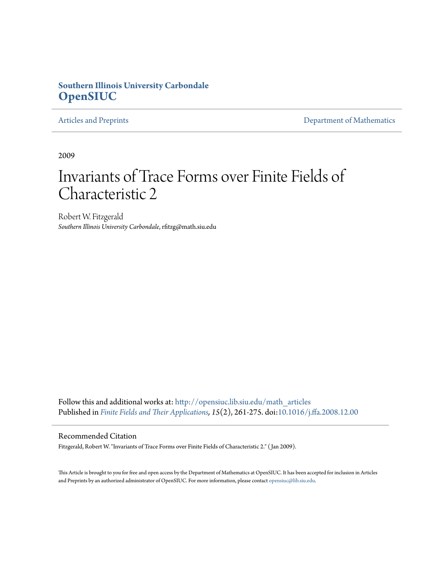#### **Southern Illinois University Carbondale [OpenSIUC](http://opensiuc.lib.siu.edu?utm_source=opensiuc.lib.siu.edu%2Fmath_articles%2F17&utm_medium=PDF&utm_campaign=PDFCoverPages)**

[Articles and Preprints](http://opensiuc.lib.siu.edu/math_articles?utm_source=opensiuc.lib.siu.edu%2Fmath_articles%2F17&utm_medium=PDF&utm_campaign=PDFCoverPages) **[Department of Mathematics](http://opensiuc.lib.siu.edu/math?utm_source=opensiuc.lib.siu.edu%2Fmath_articles%2F17&utm_medium=PDF&utm_campaign=PDFCoverPages)** 

2009

# Invariants of Trace Forms over Finite Fields of Characteristic 2

Robert W. Fitzgerald *Southern Illinois University Carbondale*, rfitzg@math.siu.edu

Follow this and additional works at: [http://opensiuc.lib.siu.edu/math\\_articles](http://opensiuc.lib.siu.edu/math_articles?utm_source=opensiuc.lib.siu.edu%2Fmath_articles%2F17&utm_medium=PDF&utm_campaign=PDFCoverPages) Published in *[Finite Fields and Their Applications](http://www.sciencedirect.com/science/journal/10715797), 15*(2), 261-275. doi[:10.1016/j.ffa.2008.12.00](http://dx.doi.org/10.1016/j.ffa.2008.12.005)

#### Recommended Citation

Fitzgerald, Robert W. "Invariants of Trace Forms over Finite Fields of Characteristic 2." ( Jan 2009).

This Article is brought to you for free and open access by the Department of Mathematics at OpenSIUC. It has been accepted for inclusion in Articles and Preprints by an authorized administrator of OpenSIUC. For more information, please contact [opensiuc@lib.siu.edu](mailto:opensiuc@lib.siu.edu).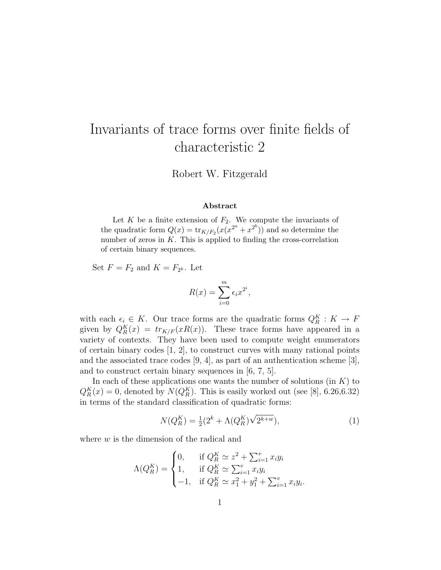## Invariants of trace forms over finite fields of characteristic 2

Robert W. Fitzgerald

#### Abstract

Let  $K$  be a finite extension of  $F_2$ . We compute the invariants of the quadratic form  $Q(x) = \text{tr}_{K/F_2}(x(x^{2^a} + x^{2^b}))$  and so determine the number of zeros in  $K$ . This is applied to finding the cross-correlation of certain binary sequences.

Set  $F = F_2$  and  $K = F_{2^k}$ . Let

$$
R(x) = \sum_{i=0}^{m} \epsilon_i x^{2^i},
$$

with each  $\epsilon_i \in K$ . Our trace forms are the quadratic forms  $Q_K^K : K \to F$ given by  $Q_R^K(x) = tr_{K/F}(xR(x))$ . These trace forms have appeared in a variety of contexts. They have been used to compute weight enumerators of certain binary codes  $(1, 2)$ , to construct curves with many rational points and the associated trace codes [9, 4], as part of an authentication scheme [3], and to construct certain binary sequences in [6, 7, 5].

In each of these applications one wants the number of solutions (in  $K$ ) to  $Q_R^K(x) = 0$ , denoted by  $N(Q_R^K)$ . This is easily worked out (see [8], 6.26,6.32) in terms of the standard classification of quadratic forms:

$$
N(Q_R^K) = \frac{1}{2}(2^k + \Lambda(Q_R^K)\sqrt{2^{k+w}}),\tag{1}
$$

where  $w$  is the dimension of the radical and

$$
\Lambda(Q_R^K) = \begin{cases} 0, & \text{if } Q_R^K \simeq z^2 + \sum_{i=1}^v x_i y_i \\ 1, & \text{if } Q_R^K \simeq \sum_{i=1}^v x_i y_i \\ -1, & \text{if } Q_R^K \simeq x_1^2 + y_1^2 + \sum_{i=1}^v x_i y_i. \end{cases}
$$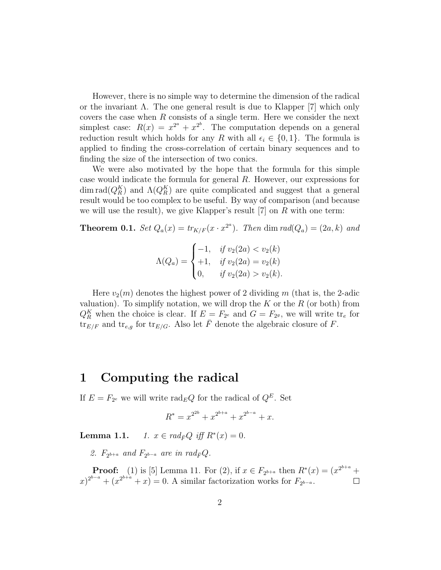However, there is no simple way to determine the dimension of the radical or the invariant  $\Lambda$ . The one general result is due to Klapper [7] which only covers the case when  $R$  consists of a single term. Here we consider the next simplest case:  $R(x) = x^{2^a} + x^{2^b}$ . The computation depends on a general reduction result which holds for any R with all  $\epsilon_i \in \{0, 1\}$ . The formula is applied to finding the cross-correlation of certain binary sequences and to finding the size of the intersection of two conics.

We were also motivated by the hope that the formula for this simple case would indicate the formula for general R. However, our expressions for dim  $\text{rad}(Q_R^K)$  and  $\Lambda(Q_R^K)$  are quite complicated and suggest that a general result would be too complex to be useful. By way of comparison (and because we will use the result), we give Klapper's result  $[7]$  on R with one term:

**Theorem 0.1.** Set  $Q_a(x) = tr_{K/F}(x \cdot x^{2^a})$ . Then dim  $rad(Q_a) = (2a, k)$  and

$$
\Lambda(Q_a) = \begin{cases}\n-1, & \text{if } v_2(2a) < v_2(k) \\
+1, & \text{if } v_2(2a) = v_2(k) \\
0, & \text{if } v_2(2a) > v_2(k).\n\end{cases}
$$

Here  $v_2(m)$  denotes the highest power of 2 dividing m (that is, the 2-adic valuation). To simplify notation, we will drop the K or the R (or both) from  $Q_R^K$  when the choice is clear. If  $E = F_{2^e}$  and  $G = F_{2^g}$ , we will write  $tr_e$  for  ${\rm tr}_{E/F}$  and  ${\rm tr}_{e,g}$  for  ${\rm tr}_{E/G}$ . Also let  $\bar{F}$  denote the algebraic closure of F.

#### 1 Computing the radical

If  $E = F_{2^e}$  we will write rad<sub>E</sub>Q for the radical of  $Q^E$ . Set

$$
R^* = x^{2^{2b}} + x^{2^{b+a}} + x^{2^{b-a}} + x.
$$

**Lemma 1.1.**  $1. \quad 1. \quad x \in \text{rad}_{\bar{F}}Q \text{ iff } R^*(x) = 0.$ 

2.  $F_{2^{b+a}}$  and  $F_{2^{b-a}}$  are in  $rad_{\bar{F}}Q$ .

**Proof:** (1) is [5] Lemma 11. For (2), if  $x \in F_{2^{b+a}}$  then  $R^*(x) = (x^{2^{b+a}} +$  $(x)^{2^{b-a}} + (x^{2^{b+a}} + x) = 0$ . A similar factorization works for  $F_{2^{b-a}}$ .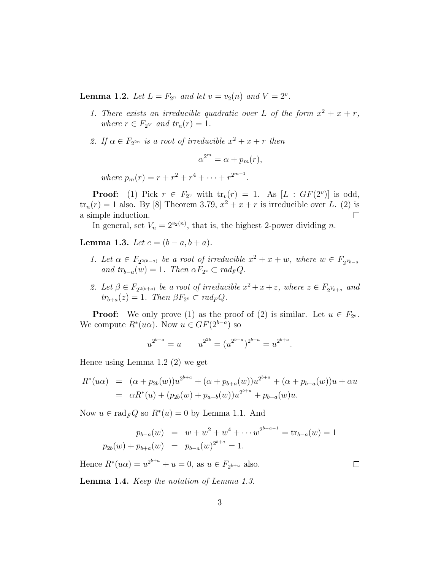**Lemma 1.2.** Let  $L = F_{2^n}$  and let  $v = v_2(n)$  and  $V = 2^v$ .

- 1. There exists an irreducible quadratic over L of the form  $x^2 + x + r$ , where  $r \in F_{2^V}$  and  $tr_n(r) = 1$ .
- 2. If  $\alpha \in F_{2^{2n}}$  is a root of irreducible  $x^2 + x + r$  then

$$
\alpha^{2^m} = \alpha + p_m(r),
$$

where  $p_m(r) = r + r^2 + r^4 + \cdots + r^{2^{m-1}}$ .

**Proof:** (1) Pick  $r \in F_{2^v}$  with  $\text{tr}_v(r) = 1$ . As  $[L : GF(2^v)]$  is odd,  $\text{tr}_n(r) = 1$  also. By [8] Theorem 3.79,  $x^2 + x + r$  is irreducible over L. (2) is a simple induction.  $\Box$ 

In general, set  $V_n = 2^{\nu_2(n)}$ , that is, the highest 2-power dividing n.

Lemma 1.3. Let  $e = (b - a, b + a)$ .

- 1. Let  $\alpha \in F_{2^{2(b-a)}}$  be a root of irreducible  $x^2 + x + w$ , where  $w \in F_{2^{V_{b-a}}}$ and  $tr_{b-a}(w) = 1$ . Then  $\alpha F_{2^e} \subset rad_{\overline{F}}Q$ .
- 2. Let  $\beta \in F_{2^{2(b+a)}}$  be a root of irreducible  $x^2 + x + z$ , where  $z \in F_{2^{V_{b+a}}}$  and  $tr_{b+a}(z) = 1$ . Then  $\beta F_{2^e} \subset \text{rad}_{\overline{F}}Q$ .

**Proof:** We only prove (1) as the proof of (2) is similar. Let  $u \in F_{2^e}$ . We compute  $R^*(u\alpha)$ . Now  $u \in GF(2^{b-a})$  so

$$
u^{2^{b-a}} = u \t u^{2^{2b}} = (u^{2^{b-a}})^{2^{b+a}} = u^{2^{b+a}}.
$$

Hence using Lemma 1.2 (2) we get

$$
R^*(u\alpha) = (\alpha + p_{2b}(w))u^{2^{b+a}} + (\alpha + p_{b+a}(w))u^{2^{b+a}} + (\alpha + p_{b-a}(w))u + \alpha u
$$
  
=  $\alpha R^*(u) + (p_{2b}(w) + p_{a+b}(w))u^{2^{b+a}} + p_{b-a}(w)u.$ 

Now  $u \in \text{rad}_{\bar{F}}Q$  so  $R^*(u) = 0$  by Lemma 1.1. And

$$
p_{b-a}(w) = w + w^2 + w^4 + \cdots w^{2^{b-a-1}} = \text{tr}_{b-a}(w) = 1
$$
  

$$
p_{2b}(w) + p_{b+a}(w) = p_{b-a}(w)^{2^{b+a}} = 1.
$$

Hence  $R^*(u\alpha) = u^{2^{b+a}} + u = 0$ , as  $u \in F_{2^{b+a}}$  also.

 $\Box$ 

Lemma 1.4. Keep the notation of Lemma 1.3.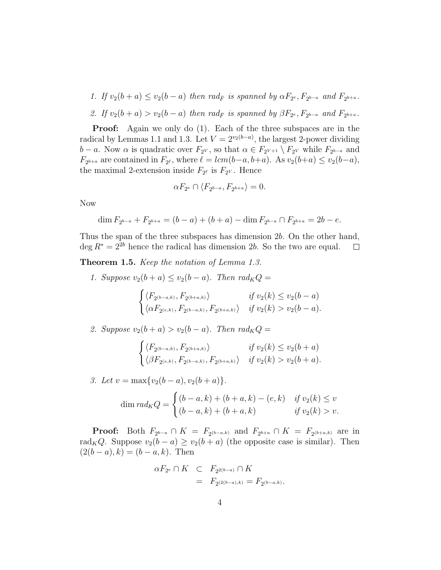- 1. If  $v_2(b+a) \le v_2(b-a)$  then rad<sub>F</sub> is spanned by  $\alpha F_{2^e}$ ,  $F_{2^{b-a}}$  and  $F_{2^{b+a}}$ .
- 2. If  $v_2(b+a) > v_2(b-a)$  then rad<sub>F</sub> is spanned by  $\beta F_{2^e}$ ,  $F_{2^{b-a}}$  and  $F_{2^{b+a}}$ .

Proof: Again we only do (1). Each of the three subspaces are in the radical by Lemmas 1.1 and 1.3. Let  $V = 2^{v_2(b-a)}$ , the largest 2-power dividing  $b-a$ . Now  $\alpha$  is quadratic over  $F_{2^V}$ , so that  $\alpha \in F_{2^{V+1}} \setminus F_{2^V}$  while  $F_{2^{b-a}}$  and  $F_{2^{b+a}}$  are contained in  $F_{2^{\ell}}$ , where  $\ell = lcm(b-a, b+a)$ . As  $v_2(b+a) \le v_2(b-a)$ , the maximal 2-extension inside  $F_{2^{\ell}}$  is  $F_{2^V}$ . Hence

$$
\alpha F_{2^e} \cap \langle F_{2^{b-a}}, F_{2^{b+a}} \rangle = 0.
$$

Now

$$
\dim F_{2^{b-a}} + F_{2^{b+a}} = (b-a) + (b+a) - \dim F_{2^{b-a}} \cap F_{2^{b+a}} = 2b - e.
$$

Thus the span of the three subspaces has dimension 2b. On the other hand, deg  $R^* = 2^{2b}$  hence the radical has dimension 2b. So the two are equal.  $\Box$ 

Theorem 1.5. Keep the notation of Lemma 1.3.

1. Suppose  $v_2(b+a) \le v_2(b-a)$ . Then  $rad_KQ =$ 

$$
\begin{cases} \langle F_{2^{(b-a,k)}}, F_{2^{(b+a,k)}} \rangle & \text{if } v_2(k) \le v_2(b-a) \\ \langle \alpha F_{2^{(e,k)}}, F_{2^{(b-a,k)}}, F_{2^{(b+a,k)}} \rangle & \text{if } v_2(k) > v_2(b-a). \end{cases}
$$

2. Suppose  $v_2(b+a) > v_2(b-a)$ . Then rad<sub>K</sub>Q =

$$
\begin{cases} \langle F_{2^{(b-a,k)}}, F_{2^{(b+a,k)}} \rangle & \text{if } v_2(k) \le v_2(b+a) \\ \langle \beta F_{2^{(e,k)}}, F_{2^{(b-a,k)}}, F_{2^{(b+a,k)}} \rangle & \text{if } v_2(k) > v_2(b+a). \end{cases}
$$

3. Let  $v = \max\{v_2(b-a), v_2(b+a)\}.$ 

dim 
$$
rad_K Q = \begin{cases} (b-a, k) + (b+a, k) - (e, k) & \text{if } v_2(k) \le v \\ (b-a, k) + (b+a, k) & \text{if } v_2(k) > v. \end{cases}
$$

**Proof:** Both  $F_{2^{b-a}} \cap K = F_{2^{(b-a,k)}}$  and  $F_{2^{b+a}} \cap K = F_{2^{(b+a,k)}}$  are in rad<sub>K</sub>Q. Suppose  $v_2(b-a) \ge v_2(b+a)$  (the opposite case is similar). Then  $(2(b-a), k) = (b-a, k)$ . Then

$$
\alpha F_{2^e} \cap K \quad \subset \quad F_{2^{2(b-a)}} \cap K
$$
  
= 
$$
F_{2^{(2(b-a),k)}} = F_{2^{(b-a,k)}}.
$$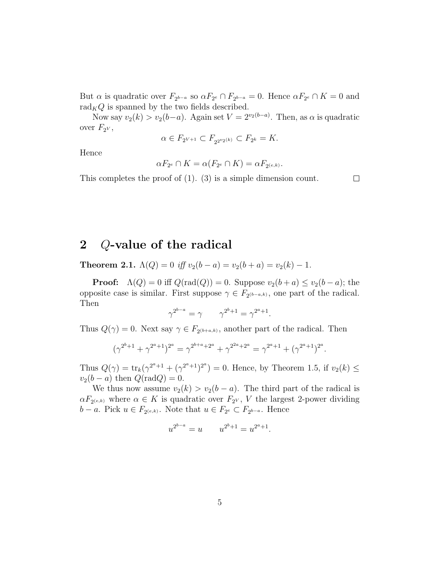But  $\alpha$  is quadratic over  $F_{2^{b-a}}$  so  $\alpha F_{2^e} \cap F_{2^{b-a}} = 0$ . Hence  $\alpha F_{2^e} \cap K = 0$  and rad<sub>K</sub>Q is spanned by the two fields described.

Now say  $v_2(k) > v_2(b-a)$ . Again set  $V = 2^{v_2(b-a)}$ . Then, as  $\alpha$  is quadratic over  $F_{2^V}$ ,

$$
\alpha \in F_{2^{V+1}} \subset F_{2^{2^{v_2(k)}}} \subset F_{2^k} = K.
$$

Hence

$$
\alpha F_{2^e} \cap K = \alpha(F_{2^e} \cap K) = \alpha F_{2^{(e,k)}}.
$$

This completes the proof of (1). (3) is a simple dimension count.

 $\Box$ 

#### 2 Q-value of the radical

Theorem 2.1.  $\Lambda(Q) = 0$  iff  $v_2(b-a) = v_2(b+a) = v_2(k) - 1$ .

**Proof:**  $\Lambda(Q) = 0$  iff  $Q(\text{rad}(Q)) = 0$ . Suppose  $v_2(b + a) \le v_2(b - a)$ ; the opposite case is similar. First suppose  $\gamma \in F_{2^{(b-a,k)}}$ , one part of the radical. Then

$$
\gamma^{2^{b-a}} = \gamma \qquad \gamma^{2^b+1} = \gamma^{2^a+1}.
$$

Thus  $Q(\gamma) = 0$ . Next say  $\gamma \in F_{2^{(b+a,k)}},$  another part of the radical. Then

$$
(\gamma^{2^b+1} + \gamma^{2^a+1})^{2^a} = \gamma^{2^{b+a}+2^a} + \gamma^{2^{2a}+2^a} = \gamma^{2^a+1} + (\gamma^{2^a+1})^{2^a}.
$$

Thus  $Q(\gamma) = \text{tr}_k(\gamma^{2^a+1} + (\gamma^{2^a+1})^{2^a}) = 0$ . Hence, by Theorem 1.5, if  $v_2(k) \leq$  $v_2(b-a)$  then  $Q(\text{rad}Q)=0$ .

We thus now assume  $v_2(k) > v_2(b-a)$ . The third part of the radical is  $\alpha F_{2^{(e,k)}}$  where  $\alpha \in K$  is quadratic over  $F_{2^V}$ , V the largest 2-power dividing  $b - a$ . Pick  $u \in F_{2^{(e,k)}}$ . Note that  $u \in F_{2^e} \subset F_{2^{b-a}}$ . Hence

$$
u^{2^{b-a}} = u \qquad u^{2^b+1} = u^{2^a+1}.
$$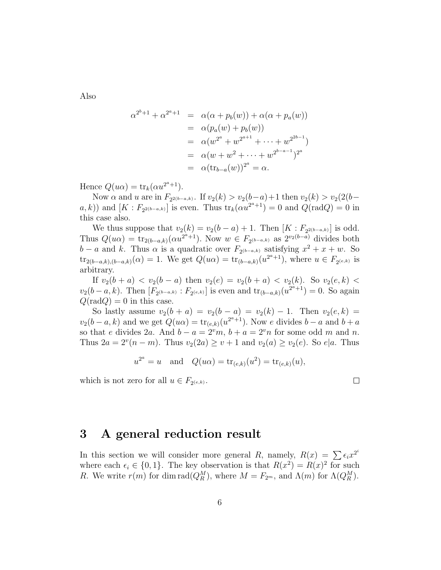Also

$$
\alpha^{2^{b}+1} + \alpha^{2^{a}+1} = \alpha(\alpha + p_{b}(w)) + \alpha(\alpha + p_{a}(w))
$$
  
=  $\alpha(p_{a}(w) + p_{b}(w))$   
=  $\alpha(w^{2^{a}} + w^{2^{a+1}} + \dots + w^{2^{2b-1}})$   
=  $\alpha(w + w^{2} + \dots + w^{2^{b-a-1}})^{2^{a}}$   
=  $\alpha(\text{tr}_{b-a}(w))^{2^{a}} = \alpha$ .

Hence  $Q(u\alpha) = \text{tr}_k(\alpha u^{2^a+1}).$ 

Now  $\alpha$  and  $u$  are in  $F_{2^{2(b-a,k)}}$ . If  $v_2(k) > v_2(b-a)+1$  then  $v_2(k) > v_2(2(b-a))$  $(a, k)$  and  $[K: F_{2^{2(b-a,k)}}]$  is even. Thus  $\text{tr}_k(\alpha u^{2a+1}) = 0$  and  $Q(\text{rad}Q) = 0$  in this case also.

We thus suppose that  $v_2(k) = v_2(b-a) + 1$ . Then  $[K : F_{2^{2(b-a,k)}}]$  is odd. Thus  $Q(u\alpha) = \text{tr}_{2(b-a,k)}(\alpha u^{2a+1})$ . Now  $w \in F_{2(b-a,k)}$  as  $2^{v_2(b-a)}$  divides both  $b - a$  and k. Thus  $\alpha$  is a quadratic over  $F_{2^{(b-a,k)}}$  satisfying  $x^2 + x + w$ . So tr<sub>2(b−a,k)</sub>,(b−a,k)( $\alpha$ ) = 1. We get  $Q(u\alpha) = \text{tr}_{(b-a,k)}(u^{2^a+1})$ , where  $u \in F_{2^{(e,k)}}$  is arbitrary.

If  $v_2(b + a) < v_2(b - a)$  then  $v_2(e) = v_2(b + a) < v_2(k)$ . So  $v_2(e, k) <$  $v_2(b-a,k)$ . Then  $[F_{2(b-a,k)}: F_{2(e,k)}]$  is even and  $\text{tr}_{(b-a,k)}(u^{2a+1}) = 0$ . So again  $Q(\text{rad}Q) = 0$  in this case.

So lastly assume  $v_2(b + a) = v_2(b - a) = v_2(k) - 1$ . Then  $v_2(e, k) =$  $v_2(b-a,k)$  and we get  $Q(u\alpha) = \text{tr}_{(e,k)}(u^{2a+1})$ . Now e divides  $b-a$  and  $b+a$ so that e divides 2a. And  $b - a = 2<sup>v</sup>m$ ,  $b + a = 2<sup>v</sup>n$  for some odd m and n. Thus  $2a = 2^v(n-m)$ . Thus  $v_2(2a) \ge v+1$  and  $v_2(a) \ge v_2(e)$ . So  $e|a$ . Thus

$$
u^{2^a} = u
$$
 and  $Q(u\alpha) = tr_{(e,k)}(u^2) = tr_{(e,k)}(u)$ ,

which is not zero for all  $u \in F_{2^{(e,k)}}$ .

### 3 A general reduction result

In this section we will consider more general R, namely,  $R(x) = \sum \epsilon_i x^{2^i}$ where each  $\epsilon_i \in \{0, 1\}$ . The key observation is that  $R(x^2) = R(x)^2$  for such R. We write  $r(m)$  for dim rad $(Q_R^M)$ , where  $M = F_{2^m}$ , and  $\Lambda(m)$  for  $\Lambda(Q_R^M)$ .

 $\Box$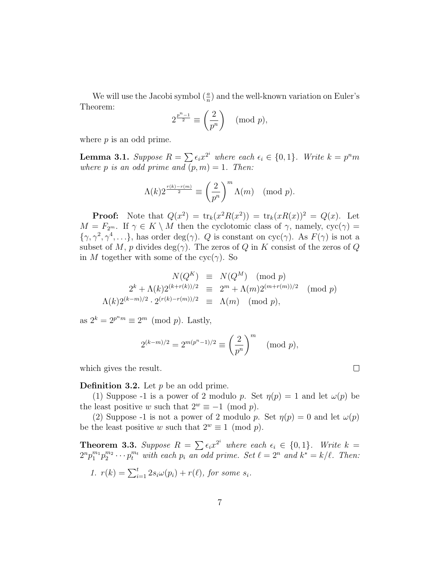We will use the Jacobi symbol  $(\frac{a}{n})$  and the well-known variation on Euler's Theorem:  $\overline{a}$  $\mathbf{r}$ 

$$
2^{\frac{p^n-1}{2}} \equiv \left(\frac{2}{p^n}\right) \pmod{p},
$$

where  $p$  is an odd prime.

**Lemma 3.1.** Suppose  $R = \sum \epsilon_i x^{2^i}$  where each  $\epsilon_i \in \{0, 1\}$ . Write  $k = p^n m$ where p is an odd prime and  $(p, m) = 1$ . Then:

$$
\Lambda(k)2^{\frac{r(k)-r(m)}{2}} \equiv \left(\frac{2}{p^n}\right)^m \Lambda(m) \pmod{p}.
$$

**Proof:** Note that  $Q(x^2) = \text{tr}_k(x^2 R(x^2)) = \text{tr}_k(x R(x))^2 = Q(x)$ . Let  $M = F_{2^m}$ . If  $\gamma \in K \setminus M$  then the cyclotomic class of  $\gamma$ , namely,  $\operatorname{cyc}(\gamma) =$  $\{\gamma, \gamma^2, \gamma^4, \ldots\}$ , has order deg( $\gamma$ ). Q is constant on cyc( $\gamma$ ). As  $F(\gamma)$  is not a subset of M, p divides  $deg(\gamma)$ . The zeros of Q in K consist of the zeros of Q in M together with some of the cyc( $\gamma$ ). So

$$
N(Q^K) \equiv N(Q^M) \pmod{p}
$$
  
\n
$$
2^k + \Lambda(k)2^{(k+r(k))/2} \equiv 2^m + \Lambda(m)2^{(m+r(m))/2} \pmod{p}
$$
  
\n
$$
\Lambda(k)2^{(k-m)/2} \cdot 2^{(r(k)-r(m))/2} \equiv \Lambda(m) \pmod{p},
$$

as  $2^k = 2^{p^nm} \equiv 2^m \pmod{p}$ . Lastly,

$$
2^{(k-m)/2} = 2^{m(p^n - 1)/2} \equiv \left(\frac{2}{p^n}\right)^m \pmod{p},
$$

which gives the result.

**Definition 3.2.** Let  $p$  be an odd prime.

(1) Suppose -1 is a power of 2 modulo p. Set  $\eta(p) = 1$  and let  $\omega(p)$  be the least positive w such that  $2^w \equiv -1 \pmod{p}$ .

(2) Suppose -1 is not a power of 2 modulo p. Set  $\eta(p) = 0$  and let  $\omega(p)$ be the least positive w such that  $2^w \equiv 1 \pmod{p}$ .

**Theorem 3.3.** Suppose  $R = \sum_{i} \epsilon_i x^{2^i}$  where each  $\epsilon_i \in \{0, 1\}$ . Write  $k =$  $2^{n} p_1^{m_1} p_2^{m_2} \cdots p_t^{m_t}$  with each  $p_i$  and  $p_i$  and  $p_i$  and  $k^* = k/\ell$ . Then:

1. 
$$
r(k) = \sum_{i=1}^{t} 2s_i \omega(p_i) + r(\ell), \text{ for some } s_i.
$$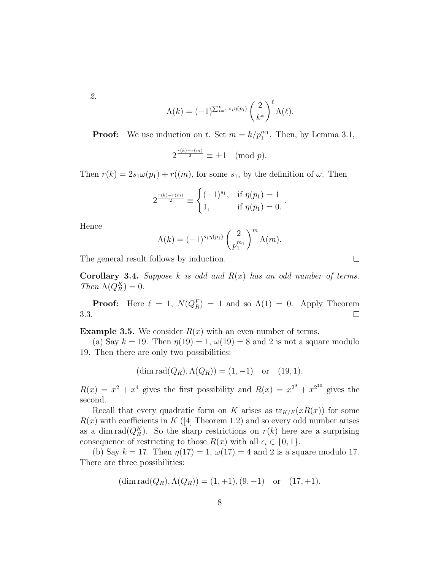2.

$$
\Lambda(k) = (-1)^{\sum_{i=1}^t s_i \eta(p_i)} \left(\frac{2}{k^*}\right)^{\ell} \Lambda(\ell).
$$

**Proof:** We use induction on t. Set  $m = k/p_1^{m_1}$ . Then, by Lemma 3.1,

$$
2^{\frac{r(k)-r(m)}{2}}\equiv \pm 1\pmod{p}.
$$

Then  $r(k) = 2s_1\omega(p_1) + r((m))$ , for some  $s_1$ , by the definition of  $\omega$ . Then

$$
2^{\frac{r(k)-r(m)}{2}} \equiv \begin{cases} (-1)^{s_1}, & \text{if } \eta(p_1) = 1 \\ 1, & \text{if } \eta(p_1) = 0. \end{cases}
$$

Hence

$$
\Lambda(k) = (-1)^{s_1 \eta(p_1)} \left(\frac{2}{p_1^{m_1}}\right)^m \Lambda(m).
$$

The general result follows by induction.

**Corollary 3.4.** Suppose k is odd and  $R(x)$  has an odd number of terms. Then  $\Lambda(Q_R^K) = 0$ .

**Proof:** Here  $\ell = 1$ ,  $N(Q_R^F) = 1$  and so  $\Lambda(1) = 0$ . Apply Theorem 3.3.  $\Box$ 

**Example 3.5.** We consider  $R(x)$  with an even number of terms.

(a) Say  $k = 19$ . Then  $\eta(19) = 1$ ,  $\omega(19) = 8$  and 2 is not a square modulo 19. Then there are only two possibilities:

$$
(\dim \text{rad}(Q_R), \Lambda(Q_R)) = (1, -1)
$$
 or  $(19, 1)$ .

 $R(x) = x^2 + x^4$  gives the first possibility and  $R(x) = x^{2^9} + x^{2^{10}}$  gives the second.

Recall that every quadratic form on K arises as  $tr_{K/F}(xR(x))$  for some  $R(x)$  with coefficients in K ([4] Theorem 1.2) and so every odd number arises as a dim rad $(Q_R^K)$ . So the sharp restrictions on  $r(k)$  here are a surprising consequence of restricting to those  $R(x)$  with all  $\epsilon_i \in \{0, 1\}.$ 

(b) Say  $k = 17$ . Then  $\eta(17) = 1$ ,  $\omega(17) = 4$  and 2 is a square modulo 17. There are three possibilities:

$$
(\dim \text{rad}(Q_R), \Lambda(Q_R)) = (1, +1), (9, -1)
$$
 or  $(17, +1)$ .

 $\Box$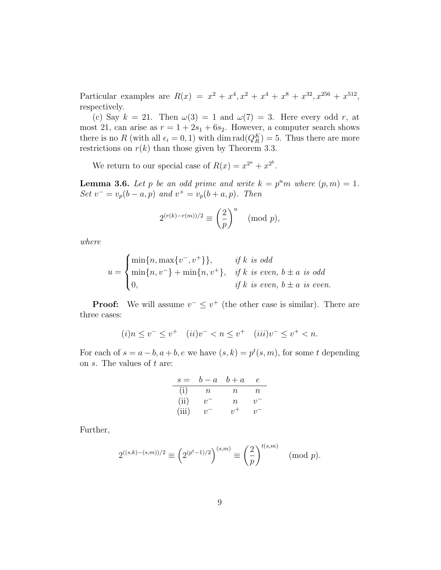Particular examples are  $R(x) = x^2 + x^4, x^2 + x^4 + x^8 + x^{32}, x^{256} + x^{512},$ respectively.

(c) Say  $k = 21$ . Then  $\omega(3) = 1$  and  $\omega(7) = 3$ . Here every odd r, at most 21, can arise as  $r = 1 + 2s_1 + 6s_2$ . However, a computer search shows there is no R (with all  $\epsilon_i = 0, 1$ ) with dim rad $(Q_R^K) = 5$ . Thus there are more restrictions on  $r(k)$  than those given by Theorem 3.3.

We return to our special case of  $R(x) = x^{2^a} + x^{2^b}$ .

**Lemma 3.6.** Let p be an odd prime and write  $k = p^n m$  where  $(p, m) = 1$ . Set  $v^- = v_p(b-a, p)$  and  $v^+ = v_p(b+a, p)$ . Then

$$
2^{(r(k)-r(m))/2} \equiv \left(\frac{2}{p}\right)^u \pmod{p},
$$

where

$$
u = \begin{cases} \min\{n, \max\{v^-, v^+\}\}, & \text{if } k \text{ is odd} \\ \min\{n, v^-\} + \min\{n, v^+\}, & \text{if } k \text{ is even, } b \pm a \text{ is odd} \\ 0, & \text{if } k \text{ is even, } b \pm a \text{ is even.} \end{cases}
$$

**Proof:** We will assume  $v^- \leq v^+$  (the other case is similar). There are three cases:

$$
(i)n \le v^- \le v^+ \quad (ii)v^- < n \le v^+ \quad (iii)v^- \le v^+ < n.
$$

For each of  $s = a - b, a + b, e$  we have  $(s, k) = p^t(s, m)$ , for some t depending on  $s$ . The values of  $t$  are:

$$
s = b - a \t b + a \t e
$$
  
\n(i) *n n n*  
\n(ii) *v*<sup>-</sup> *n v*<sup>-</sup>  
\n(iii) *v*<sup>-</sup> *v*<sup>+</sup> *v*<sup>-</sup>

Further,

$$
2^{((s,k)-(s,m))/2} \equiv \left(2^{(p^t-1)/2}\right)^{(s,m)} \equiv \left(\frac{2}{p}\right)^{t(s,m)} \pmod{p}.
$$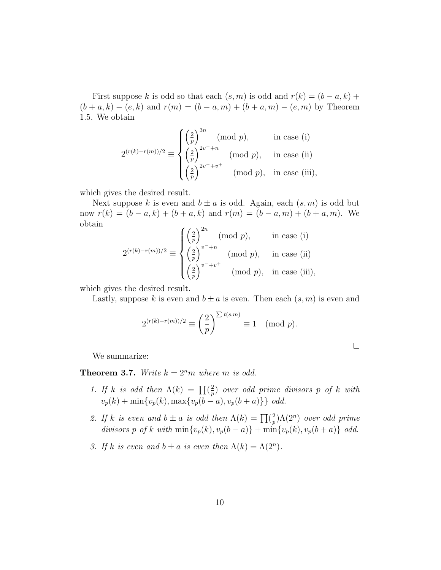First suppose k is odd so that each  $(s, m)$  is odd and  $r(k) = (b - a, k) +$  $(b + a, k) - (e, k)$  and  $r(m) = (b - a, m) + (b + a, m) - (e, m)$  by Theorem 1.5. We obtain

$$
2^{(r(k)-r(m))/2} \equiv \begin{cases} \left(\frac{2}{p}\right)^{3n} \pmod{p}, & \text{in case (i)}\\ \left(\frac{2}{p}\right)^{2v^{-}+n} \pmod{p}, & \text{in case (ii)}\\ \left(\frac{2}{p}\right)^{2v^{-}+v^{+}} \pmod{p}, & \text{in case (iii)}, \end{cases}
$$

which gives the desired result.

Next suppose k is even and  $b \pm a$  is odd. Again, each  $(s, m)$  is odd but now  $r(k) = (b - a, k) + (b + a, k)$  and  $r(m) = (b - a, m) + (b + a, m)$ . We obtain  $\overline{a}$  $\overline{a}$  $\sqrt{2n}$ 

$$
2^{(r(k)-r(m))/2} \equiv \begin{cases} \left(\frac{2}{p}\right)^{2n} \pmod{p}, & \text{in case (i)}\\ \left(\frac{2}{p}\right)^{v^{-}+n} \pmod{p}, & \text{in case (ii)}\\ \left(\frac{2}{p}\right)^{v^{-}+v^{+}} \pmod{p}, & \text{in case (iii)}, \end{cases}
$$

which gives the desired result.

Lastly, suppose k is even and  $b \pm a$  is even. Then each  $(s, m)$  is even and

 $\Box$ 

$$
2^{(r(k)-r(m))/2} \equiv \left(\frac{2}{p}\right)^{\sum t(s,m)} \equiv 1 \pmod{p}.
$$

We summarize:

**Theorem 3.7.** Write  $k = 2^n m$  where m is odd.

- 1. If k is odd then  $\Lambda(k) = \prod_{n=1}^{\infty}$  $\frac{2}{p}$ ) over odd prime divisors  $p$  of  $k$  with  $v_p(k) + \min\{v_p(k), \max\{v_p(b-a), v_p(b+a)\}\}\ \text{odd}.$
- 2. If k is even and  $b \pm a$  is odd then  $\Lambda(k) = \prod_{n=1}^{\infty}$  $\frac{2}{p}$ ) $\Lambda(2^n)$  over odd prime divisors p of k with  $\min\{v_p(k), v_p(b-a)\} + \min\{v_p(k), v_p(b+a)\}$  odd.
- 3. If k is even and  $b \pm a$  is even then  $\Lambda(k) = \Lambda(2^n)$ .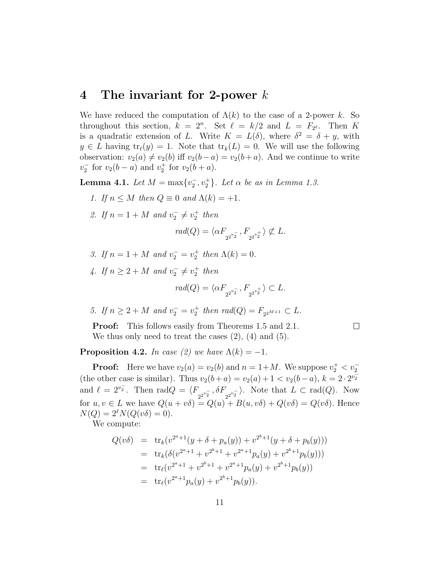#### 4 The invariant for 2-power  $k$

We have reduced the computation of  $\Lambda(k)$  to the case of a 2-power k. So throughout this section,  $k = 2^n$ . Set  $\ell = k/2$  and  $L = F_{2^{\ell}}$ . Then K is a quadratic extension of L. Write  $K = L(\delta)$ , where  $\delta^2 = \delta + y$ , with  $y \in L$  having  $tr_{\ell}(y) = 1$ . Note that  $tr_{k}(L) = 0$ . We will use the following observation:  $v_2(a) \neq v_2(b)$  iff  $v_2(b-a) = v_2(b+a)$ . And we continue to write  $v_2^-$  for  $v_2(b-a)$  and  $v_2^+$  for  $v_2(b+a)$ .

**Lemma 4.1.** Let  $M = \max\{v_2^-, v_2^+\}$ . Let  $\alpha$  be as in Lemma 1.3.

- 1. If  $n \leq M$  then  $Q \equiv 0$  and  $\Lambda(k) = +1$ .
- 2. If  $n = 1 + M$  and  $v_2^- \neq v_2^+$  then

$$
rad(Q) = \langle \alpha F_{2^{2^{v_2^{-}}}}, F_{2^{2^{v_2^{+}}}} \rangle \not\subset L.
$$

- 3. If  $n = 1 + M$  and  $v_2^- = v_2^+$  then  $\Lambda(k) = 0$ .
- 4. If  $n \geq 2 + M$  and  $v_2^- \neq v_2^+$  then

$$
\operatorname{rad}(Q)=\langle \alpha F_{2^{2^{v_2^-}}}, F_{2^{2^{v_2^+}}}\rangle \subset L.
$$

 $\Box$ 

5. If  $n \geq 2 + M$  and  $v_2^- = v_2^+$  then  $rad(Q) = F_{2^{2M+1}} \subset L$ .

**Proof:** This follows easily from Theorems 1.5 and 2.1. We thus only need to treat the cases  $(2)$ ,  $(4)$  and  $(5)$ .

**Proposition 4.2.** In case (2) we have  $\Lambda(k) = -1$ .

**Proof:** Here we have  $v_2(a) = v_2(b)$  and  $n = 1 + M$ . We suppose  $v_2^+ < v_2^-$ (the other case is similar). Thus  $v_2(b + a) = v_2(a) + 1 < v_2(b-a), k = 2 \cdot 2^{v_2^{-}}$ and  $\ell = 2^{v_2^-}$ . Then  $\text{rad}Q = \langle F_{2^{2^{v_2^-}}}, \delta F_{2^{2^{v_2^-}}}\rangle$ . Note that  $L \subset \text{rad}(Q)$ . Now for  $u, v \in L$  we have  $Q(u + v\delta) = Q(u) + B(u, v\delta) + Q(v\delta) = Q(v\delta)$ . Hence  $N(Q) = 2^{\ell} N(Q(v\delta) = 0).$ 

We compute:

$$
Q(v\delta) = \text{tr}_k(v^{2^a+1}(y+\delta+p_a(y))+v^{2^b+1}(y+\delta+p_b(y)))
$$
  
\n
$$
= \text{tr}_k(\delta(v^{2^a+1}+v^{2^b+1}+v^{2^a+1}p_a(y)+v^{2^b+1}p_b(y)))
$$
  
\n
$$
= \text{tr}_\ell(v^{2^a+1}+v^{2^b+1}+v^{2^a+1}p_a(y)+v^{2^b+1}p_b(y))
$$
  
\n
$$
= \text{tr}_\ell(v^{2^a+1}p_a(y)+v^{2^b+1}p_b(y)).
$$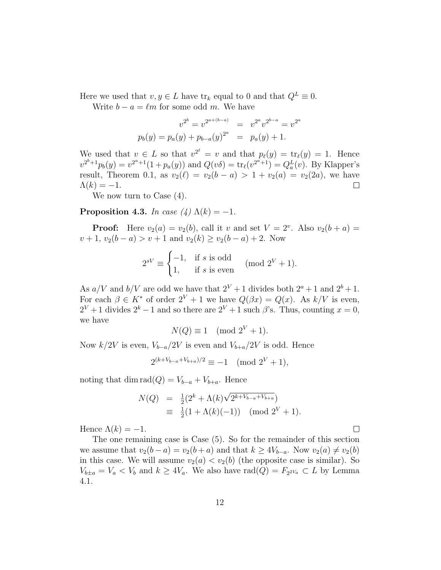Here we used that  $v, y \in L$  have  $\text{tr}_k$  equal to 0 and that  $Q^L \equiv 0$ .

Write  $b - a = \ell m$  for some odd m. We have

$$
v^{2^b} = v^{2^{a+(b-a)}} = v^{2^a} v^{2^{b-a}} = v^{2^a}
$$

$$
p_b(y) = p_a(y) + p_{b-a}(y)^{2^a} = p_a(y) + 1.
$$

We used that  $v \in L$  so that  $v^{2^{\ell}} = v$  and that  $p_{\ell}(y) = \text{tr}_{\ell}(y) = 1$ . Hence  $v^{2^b+1}p_b(y) = v^{2^a+1}(1+p_a(y))$  and  $Q(v\delta) = \text{tr}_\ell(v^{2^a+1}) = Q_a^L(v)$ . By Klapper's result, Theorem 0.1, as  $v_2(\ell) = v_2(b-a) > 1 + v_2(a) = v_2(2a)$ , we have  $\Lambda(k) = -1.$  $\Box$ 

We now turn to Case (4).

Proposition 4.3. In case (4)  $\Lambda(k) = -1$ .

**Proof:** Here  $v_2(a) = v_2(b)$ , call it v and set  $V = 2^v$ . Also  $v_2(b + a) =$  $v + 1$ ,  $v_2(b - a) > v + 1$  and  $v_2(k) \ge v_2(b - a) + 2$ . Now

$$
2^{sV} \equiv \begin{cases} -1, & \text{if } s \text{ is odd} \\ 1, & \text{if } s \text{ is even} \end{cases} \pmod{2^{V}+1}.
$$

As  $a/V$  and  $b/V$  are odd we have that  $2^V + 1$  divides both  $2^a + 1$  and  $2^b + 1$ . For each  $\beta \in K^*$  of order  $2^V + 1$  we have  $Q(\beta x) = Q(x)$ . As  $k/V$  is even,  $2^V + 1$  divides  $2^k - 1$  and so there are  $2^V + 1$  such  $\beta$ 's. Thus, counting  $x = 0$ , we have

$$
N(Q) \equiv 1 \pmod{2^V + 1}.
$$

Now  $k/2V$  is even,  $V_{b-a}/2V$  is even and  $V_{b+a}/2V$  is odd. Hence

$$
2^{(k+V_{b-a}+V_{b+a})/2} \equiv -1 \pmod{2^V+1},
$$

noting that dim rad $(Q) = V_{b-a} + V_{b+a}$ . Hence

$$
N(Q) = \frac{1}{2}(2^{k} + \Lambda(k)\sqrt{2^{k+V_{b-a}+V_{b+a}}})
$$
  
\n
$$
\equiv \frac{1}{2}(1 + \Lambda(k)(-1)) \pmod{2^{V}+1}.
$$

Hence  $\Lambda(k) = -1$ .

The one remaining case is Case (5). So for the remainder of this section we assume that  $v_2(b-a) = v_2(b+a)$  and that  $k \geq 4V_{b-a}$ . Now  $v_2(a) \neq v_2(b)$ in this case. We will assume  $v_2(a) < v_2(b)$  (the opposite case is similar). So  $V_{b\pm a} = V_a < V_b$  and  $k \geq 4V_a$ . We also have  $\text{rad}(Q) = F_{2} \times \text{rad}(Q)$  Lemma 4.1.

 $\Box$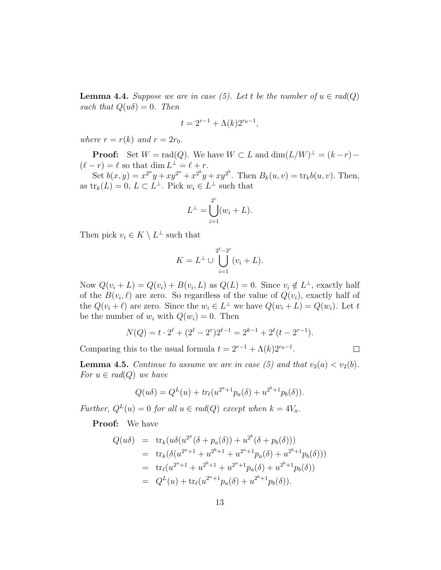**Lemma 4.4.** Suppose we are in case (5). Let t be the number of  $u \in rad(Q)$ such that  $Q(u\delta) = 0$ . Then

$$
t = 2^{r-1} + \Lambda(k)2^{r_0 - 1},
$$

where  $r = r(k)$  and  $r = 2r_0$ .

**Proof:** Set  $W = \text{rad}(Q)$ . We have  $W \subset L$  and  $\dim(L/W)^{\perp} = (k - r) (\ell - r) = \ell$  so that dim  $L^{\perp} = \ell + r$ .

Set  $b(x, y) = x^{2^a}y + xy^{2^a} + x^{2^b}y + xy^{2^b}$ . Then  $B_k(u, v) = \text{tr}_k b(u, v)$ . Then, as  $\text{tr}_k(L) = 0, L \subset L^{\perp}$ . Pick  $w_i \in L^{\perp}$  such that

$$
L^{\perp} = \bigcup_{i=1}^{2^r} (w_i + L).
$$

Then pick  $v_i \in K \setminus L^{\perp}$  such that

$$
K = L^{\perp} \cup \bigcup_{i=1}^{2^{\ell} - 2^r} (v_i + L).
$$

Now  $Q(v_i + L) = Q(v_i) + B(v_i, L)$  as  $Q(L) = 0$ . Since  $v_i \notin L^{\perp}$ , exactly half of the  $B(v_i, \ell)$  are zero. So regardless of the value of  $Q(v_i)$ , exactly half of the  $Q(v_i + \ell)$  are zero. Since the  $w_i \in L^{\perp}$  we have  $Q(w_i + L) = Q(w_i)$ . Let t be the number of  $w_i$  with  $Q(w_i) = 0$ . Then

$$
N(Q) = t \cdot 2^{\ell} + (2^{\ell} - 2^r)2^{\ell - 1} = 2^{k-1} + 2^{\ell}(t - 2^{r-1}).
$$

 $\Box$ 

Comparing this to the usual formula  $t = 2^{r-1} + \Lambda(k)2^{r_0-1}$ .

**Lemma 4.5.** Continue to assume we are in case (5) and that  $v_2(a) < v_2(b)$ . For  $u \in rad(Q)$  we have

$$
Q(u\delta) = Q^{L}(u) + tr_{\ell}(u^{2^{a}+1}p_{a}(\delta) + u^{2^{b}+1}p_{b}(\delta)).
$$

Further,  $Q^{L}(u) = 0$  for all  $u \in rad(Q)$  except when  $k = 4V_a$ .

Proof: We have

$$
Q(u\delta) = \text{tr}_k(u\delta(u^{2^a}(\delta + p_a(\delta)) + u^{2^b}(\delta + p_b(\delta)))
$$
  
\n
$$
= \text{tr}_k(\delta(u^{2^a+1} + u^{2^b+1} + u^{2^a+1}p_a(\delta) + u^{2^b+1}p_b(\delta)))
$$
  
\n
$$
= \text{tr}_\ell(u^{2^a+1} + u^{2^b+1} + u^{2^a+1}p_a(\delta) + u^{2^b+1}p_b(\delta))
$$
  
\n
$$
= Q^L(u) + \text{tr}_\ell(u^{2^a+1}p_a(\delta) + u^{2^b+1}p_b(\delta)).
$$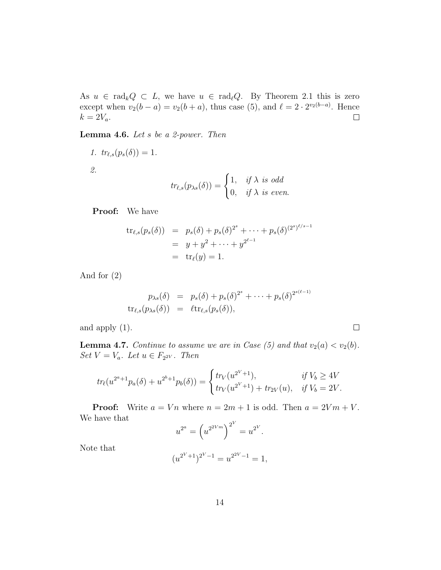As  $u \in \text{rad}_k Q \subset L$ , we have  $u \in \text{rad}_\ell Q$ . By Theorem 2.1 this is zero except when  $v_2(b-a) = v_2(b+a)$ , thus case (5), and  $\ell = 2 \cdot 2^{v_2(b-a)}$ . Hence  $k=2V_a.$  $\Box$ 

**Lemma 4.6.** Let  $s$  be a 2-power. Then

$$
1. \operatorname{tr}_{\ell,s}(p_s(\delta))=1.
$$

2.

$$
tr_{\ell,s}(p_{\lambda s}(\delta)) = \begin{cases} 1, & \text{if } \lambda \text{ is odd} \\ 0, & \text{if } \lambda \text{ is even.} \end{cases}
$$

Proof: We have

$$
tr_{\ell,s}(p_s(\delta)) = p_s(\delta) + p_s(\delta)^{2^s} + \dots + p_s(\delta)^{(2^s)^{\ell/s-1}}
$$
  
=  $y + y^2 + \dots + y^{2^{\ell-1}}$   
=  $tr_{\ell}(y) = 1$ .

And for (2)

$$
p_{\lambda s}(\delta) = p_s(\delta) + p_s(\delta)^{2^s} + \cdots + p_s(\delta)^{2^{s(\ell-1)}}
$$
  
\n
$$
\text{tr}_{\ell,s}(p_{\lambda s}(\delta)) = \ell \text{tr}_{\ell,s}(p_s(\delta)),
$$

 $\Box$ 

and apply (1).

**Lemma 4.7.** Continue to assume we are in Case (5) and that  $v_2(a) < v_2(b)$ . Set  $V = V_a$ . Let  $u \in F_{2^{2V}}$ . Then

$$
tr_{\ell}(u^{2^{a}+1}p_a(\delta) + u^{2^{b}+1}p_b(\delta)) = \begin{cases} tr_V(u^{2^{V}+1}), & \text{if } V_b \ge 4V \\ tr_V(u^{2^{V}+1}) + tr_{2V}(u), & \text{if } V_b = 2V. \end{cases}
$$

**Proof:** Write  $a = Vn$  where  $n = 2m + 1$  is odd. Then  $a = 2Vm + V$ . We have that  $\overline{a}$  $\mathbf{v}$ 

$$
u^{2^a} = \left(u^{2^{2Vm}}\right)^{2^V} = u^{2^V}.
$$

Note that

$$
(u^{2^V+1})^{2^V-1} = u^{2^{2V}-1} = 1,
$$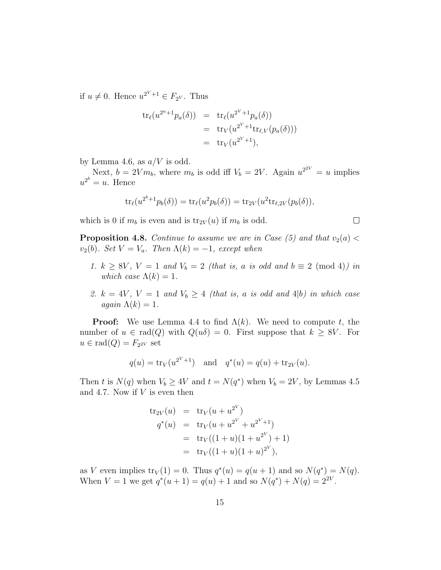if  $u \neq 0$ . Hence  $u^{2^V+1} \in F_{2^V}$ . Thus

$$
tr_{\ell}(u^{2^{a}+1}p_{a}(\delta)) = tr_{\ell}(u^{2^{V}+1}p_{a}(\delta))
$$
  
=  $tr_{V}(u^{2^{V}+1}tr_{\ell,V}(p_{a}(\delta)))$   
=  $tr_{V}(u^{2^{V}+1}),$ 

by Lemma 4.6, as  $a/V$  is odd.

Next,  $b = 2Vm_b$ , where  $m_b$  is odd iff  $V_b = 2V$ . Again  $u^{2^{2V}} = u$  implies  $u^{2^b} = u$ . Hence

$$
\text{tr}_{\ell}(u^{2^{b}+1}p_{b}(\delta)) = \text{tr}_{\ell}(u^{2}p_{b}(\delta)) = \text{tr}_{2V}(u^{2}\text{tr}_{\ell,2V}(p_{b}(\delta)),
$$

 $\Box$ 

which is 0 if  $m_b$  is even and is  $\text{tr}_{2V}(u)$  if  $m_b$  is odd.

**Proposition 4.8.** Continue to assume we are in Case (5) and that  $v_2(a)$  <  $v_2(b)$ . Set  $V = V_a$ . Then  $\Lambda(k) = -1$ , except when

- 1.  $k \geq 8V$ ,  $V = 1$  and  $V_b = 2$  (that is, a is odd and  $b \equiv 2 \pmod{4}$ ) in which case  $\Lambda(k) = 1$ .
- 2.  $k = 4V$ ,  $V = 1$  and  $V_b \ge 4$  (that is, a is odd and 4(b) in which case again  $\Lambda(k) = 1$ .

**Proof:** We use Lemma 4.4 to find  $\Lambda(k)$ . We need to compute t, the number of  $u \in rad(Q)$  with  $Q(u\delta) = 0$ . First suppose that  $k \geq 8V$ . For  $u \in rad(Q) = F_{2^{2V}}$  set

$$
q(u) = \text{tr}_V(u^{2^V+1})
$$
 and  $q^*(u) = q(u) + \text{tr}_{2^V}(u)$ .

Then t is  $N(q)$  when  $V_b \ge 4V$  and  $t = N(q^*)$  when  $V_b = 2V$ , by Lemmas 4.5 and 4.7. Now if  $V$  is even then

$$
tr_{2V}(u) = tr_V(u + u^{2V})
$$
  
\n
$$
q^*(u) = tr_V(u + u^{2V} + u^{2V+1})
$$
  
\n
$$
= tr_V((1+u)(1+u^{2V})+1)
$$
  
\n
$$
= tr_V((1+u)(1+u)^{2V}),
$$

as V even implies  $\text{tr}_V(1) = 0$ . Thus  $q^*(u) = q(u+1)$  and so  $N(q^*) = N(q)$ . When  $V = 1$  we get  $q^*(u+1) = q(u) + 1$  and so  $N(q^*) + N(q) = 2^{2V}$ .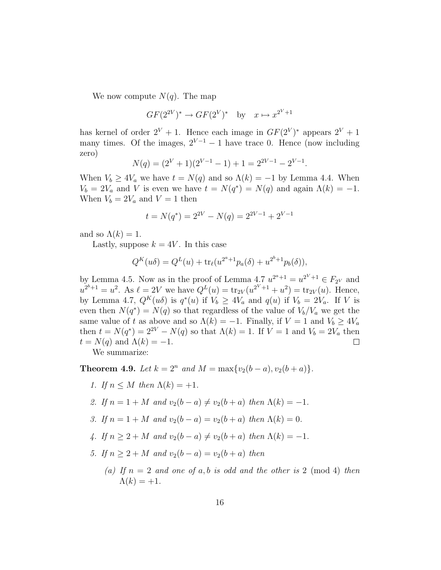We now compute  $N(q)$ . The map

$$
GF(2^{2V})^* \to GF(2^V)^* \quad \text{by} \quad x \mapsto x^{2^V+1}
$$

has kernel of order  $2^V + 1$ . Hence each image in  $GF(2^V)^*$  appears  $2^V + 1$ many times. Of the images,  $2^{V-1} - 1$  have trace 0. Hence (now including zero)

$$
N(q) = (2V + 1)(2V-1 - 1) + 1 = 22V-1 - 2V-1.
$$

When  $V_b \geq 4V_a$  we have  $t = N(q)$  and so  $\Lambda(k) = -1$  by Lemma 4.4. When  $V_b = 2V_a$  and V is even we have  $t = N(q^*) = N(q)$  and again  $\Lambda(k) = -1$ . When  $V_b = 2V_a$  and  $V = 1$  then

$$
t = N(q^*) = 2^{2V} - N(q) = 2^{2V-1} + 2^{V-1}
$$

and so  $\Lambda(k) = 1$ .

Lastly, suppose  $k = 4V$ . In this case

$$
Q^{K}(u\delta) = Q^{L}(u) + \text{tr}_{\ell}(u^{2^{a}+1}p_{a}(\delta) + u^{2^{b}+1}p_{b}(\delta)),
$$

by Lemma 4.5. Now as in the proof of Lemma 4.7  $u^{2^a+1} = u^{2^V+1} \in F_{2^V}$  and  $u^{2^b+1} = u^2$ . As  $\ell = 2V$  we have  $Q^L(u) = \text{tr}_{2V}(u^{2^V+1} + u^2) = \text{tr}_{2V}(u)$ . Hence, by Lemma 4.7,  $Q^K(u\delta)$  is  $q^*(u)$  if  $V_b \geq 4V_a$  and  $q(u)$  if  $V_b = 2V_a$ . If V is even then  $N(q^*) = N(q)$  so that regardless of the value of  $V_b/V_a$  we get the same value of t as above and so  $\Lambda(k) = -1$ . Finally, if  $V = 1$  and  $V_b \geq 4V_a$ then  $t = N(q^*) = 2^{2V} - N(q)$  so that  $\Lambda(k) = 1$ . If  $V = 1$  and  $V_b = 2V_a$  then  $t = N(q)$  and  $\Lambda(k) = -1$ .

We summarize:

Theorem 4.9. Let  $k = 2^n$  and  $M = \max\{v_2(b-a), v_2(b+a)\}.$ 

- 1. If  $n \leq M$  then  $\Lambda(k) = +1$ .
- 2. If  $n = 1 + M$  and  $v_2(b-a) \neq v_2(b+a)$  then  $\Lambda(k) = -1$ .
- 3. If  $n = 1 + M$  and  $v_2(b a) = v_2(b + a)$  then  $\Lambda(k) = 0$ .
- 4. If  $n > 2 + M$  and  $v_2(b-a) \neq v_2(b+a)$  then  $\Lambda(k) = -1$ .
- 5. If  $n > 2 + M$  and  $v_2(b-a) = v_2(b+a)$  then
	- (a) If  $n = 2$  and one of a, b is odd and the other is 2 (mod 4) then  $\Lambda(k) = +1.$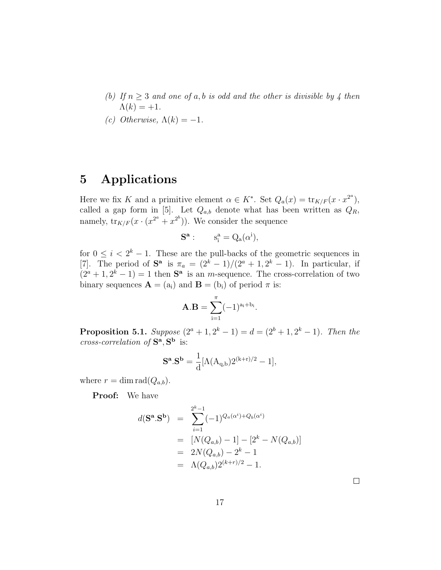- (b) If  $n \geq 3$  and one of a, b is odd and the other is divisible by 4 then  $\Lambda(k) = +1.$
- (c) Otherwise,  $\Lambda(k) = -1$ .

## 5 Applications

Here we fix K and a primitive element  $\alpha \in K^*$ . Set  $Q_a(x) = \text{tr}_{K/F}(x \cdot x^{2^a})$ , called a gap form in [5]. Let  $Q_{a,b}$  denote what has been written as  $Q_R$ , namely,  ${\rm tr}_{K/F}(x \cdot (x^{2^a} + x^{2^b}))$ . We consider the sequence

$$
\mathbf{S}^\mathbf{a}:\qquad s_i^a=Q_a(\alpha^i),
$$

for  $0 \leq i < 2^k - 1$ . These are the pull-backs of the geometric sequences in [7]. The period of  $S^a$  is  $\pi_a = (2^k - 1)/(2^a + 1, 2^k - 1)$ . In particular, if  $(2^a + 1, 2^k - 1) = 1$  then  $S^a$  is an *m*-sequence. The cross-correlation of two binary sequences  $\mathbf{A} = (a_i)$  and  $\mathbf{B} = (b_i)$  of period  $\pi$  is:

$$
\mathbf{A}.\mathbf{B}=\sum_{i=1}^{\pi}(-1)^{a_i+b_i}.
$$

**Proposition 5.1.** Suppose  $(2^a + 1, 2^k - 1) = d = (2^b + 1, 2^k - 1)$ . Then the cross-correlation of  $S^a$ ,  $S^b$  is:

$$
\mathbf{S}^\mathbf{a}.\mathbf{S}^\mathbf{b} = \frac{1}{d}[\Lambda(A_{q,b})2^{(k+r)/2}-1],
$$

where  $r = \dim \text{rad}(Q_{a,b}).$ 

Proof: We have

$$
d(\mathbf{S}^{\mathbf{a}} \cdot \mathbf{S}^{\mathbf{b}}) = \sum_{i=1}^{2^k - 1} (-1)^{Q_a(\alpha^i) + Q_b(\alpha^i)}
$$
  
= 
$$
[N(Q_{a,b}) - 1] - [2^k - N(Q_{a,b})]
$$
  
= 
$$
2N(Q_{a,b}) - 2^k - 1
$$
  
= 
$$
\Lambda(Q_{a,b})2^{(k+r)/2} - 1.
$$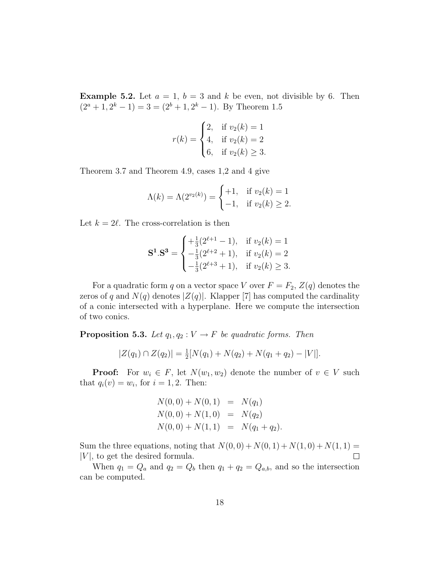**Example 5.2.** Let  $a = 1$ ,  $b = 3$  and k be even, not divisible by 6. Then  $(2^a + 1, 2^k - 1) = 3 = (2^b + 1, 2^k - 1)$ . By Theorem 1.5

$$
r(k) = \begin{cases} 2, & \text{if } v_2(k) = 1 \\ 4, & \text{if } v_2(k) = 2 \\ 6, & \text{if } v_2(k) \ge 3. \end{cases}
$$

Theorem 3.7 and Theorem 4.9, cases 1,2 and 4 give

$$
\Lambda(k) = \Lambda(2^{v_2(k)}) = \begin{cases} +1, & \text{if } v_2(k) = 1\\ -1, & \text{if } v_2(k) \ge 2. \end{cases}
$$

Let  $k = 2\ell$ . The cross-correlation is then

$$
\mathbf{S}^1 \cdot \mathbf{S}^3 = \begin{cases} +\frac{1}{3}(2^{\ell+1}-1), & \text{if } v_2(k) = 1\\ -\frac{1}{3}(2^{\ell+2}+1), & \text{if } v_2(k) = 2\\ -\frac{1}{3}(2^{\ell+3}+1), & \text{if } v_2(k) \ge 3. \end{cases}
$$

For a quadratic form q on a vector space V over  $F = F_2$ ,  $Z(q)$  denotes the zeros of q and  $N(q)$  denotes  $|Z(q)|$ . Klapper [7] has computed the cardinality of a conic intersected with a hyperplane. Here we compute the intersection of two conics.

**Proposition 5.3.** Let  $q_1, q_2 : V \to F$  be quadratic forms. Then

$$
|Z(q_1) \cap Z(q_2)| = \frac{1}{2}[N(q_1) + N(q_2) + N(q_1 + q_2) - |V|].
$$

**Proof:** For  $w_i \in F$ , let  $N(w_1, w_2)$  denote the number of  $v \in V$  such that  $q_i(v) = w_i$ , for  $i = 1, 2$ . Then:

$$
N(0,0) + N(0,1) = N(q_1)
$$
  
\n
$$
N(0,0) + N(1,0) = N(q_2)
$$
  
\n
$$
N(0,0) + N(1,1) = N(q_1 + q_2).
$$

Sum the three equations, noting that  $N(0, 0) + N(0, 1) + N(1, 0) + N(1, 1) =$  $|V|$ , to get the desired formula.  $\Box$ 

When  $q_1 = Q_a$  and  $q_2 = Q_b$  then  $q_1 + q_2 = Q_{a,b}$ , and so the intersection can be computed.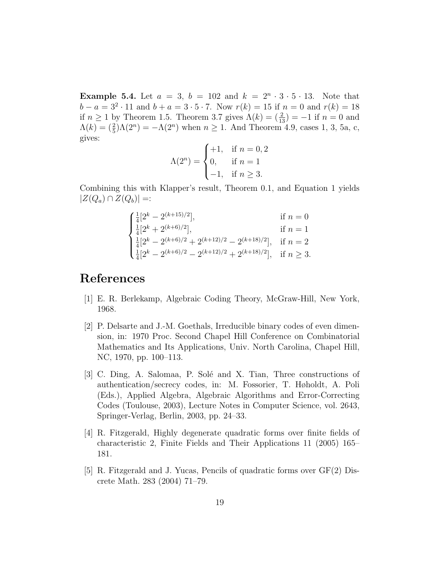**Example 5.4.** Let  $a = 3$ ,  $b = 102$  and  $k = 2<sup>n</sup> \cdot 3 \cdot 5 \cdot 13$ . Note that  $b - a = 3<sup>2</sup> \cdot 11$  and  $b + a = 3 \cdot 5 \cdot 7$ . Now  $r(k) = 15$  if  $n = 0$  and  $r(k) = 18$ if  $n \geq 1$  by Theorem 1.5. Theorem 3.7 gives  $\Lambda(k) = \left(\frac{2}{13}\right) = -1$  if  $n = 0$  and  $\Lambda(k) = \left(\frac{2}{5}\right)\Lambda(2^n) = -\Lambda(2^n)$  when  $n \geq 1$ . And Theorem 4.9, cases 1, 3, 5a, c, gives:  $\overline{a}$ 

$$
\Lambda(2^n) = \begin{cases} +1, & \text{if } n = 0, 2 \\ 0, & \text{if } n = 1 \\ -1, & \text{if } n \ge 3. \end{cases}
$$

Combining this with Klapper's result, Theorem 0.1, and Equation 1 yields  $|Z(Q_a) \cap Z(Q_b)| =:$ 

$$
\begin{cases} \frac{1}{4} [2^k - 2^{(k+15)/2}], & \text{if } n = 0\\ \frac{1}{4} [2^k + 2^{(k+6)/2}], & \text{if } n = 1\\ \frac{1}{4} [2^k - 2^{(k+6)/2} + 2^{(k+12)/2} - 2^{(k+18)/2}], & \text{if } n = 2\\ \frac{1}{4} [2^k - 2^{(k+6)/2} - 2^{(k+12)/2} + 2^{(k+18)/2}], & \text{if } n \geq 3. \end{cases}
$$

#### References

- [1] E. R. Berlekamp, Algebraic Coding Theory, McGraw-Hill, New York, 1968.
- [2] P. Delsarte and J.-M. Goethals, Irreducible binary codes of even dimension, in: 1970 Proc. Second Chapel Hill Conference on Combinatorial Mathematics and Its Applications, Univ. North Carolina, Chapel Hill, NC, 1970, pp. 100–113.
- [3] C. Ding, A. Salomaa, P. Sol´e and X. Tian, Three constructions of authentication/secrecy codes, in: M. Fossorier, T. Høholdt, A. Poli (Eds.), Applied Algebra, Algebraic Algorithms and Error-Correcting Codes (Toulouse, 2003), Lecture Notes in Computer Science, vol. 2643, Springer-Verlag, Berlin, 2003, pp. 24–33.
- [4] R. Fitzgerald, Highly degenerate quadratic forms over finite fields of characteristic 2, Finite Fields and Their Applications 11 (2005) 165– 181.
- [5] R. Fitzgerald and J. Yucas, Pencils of quadratic forms over GF(2) Discrete Math. 283 (2004) 71–79.